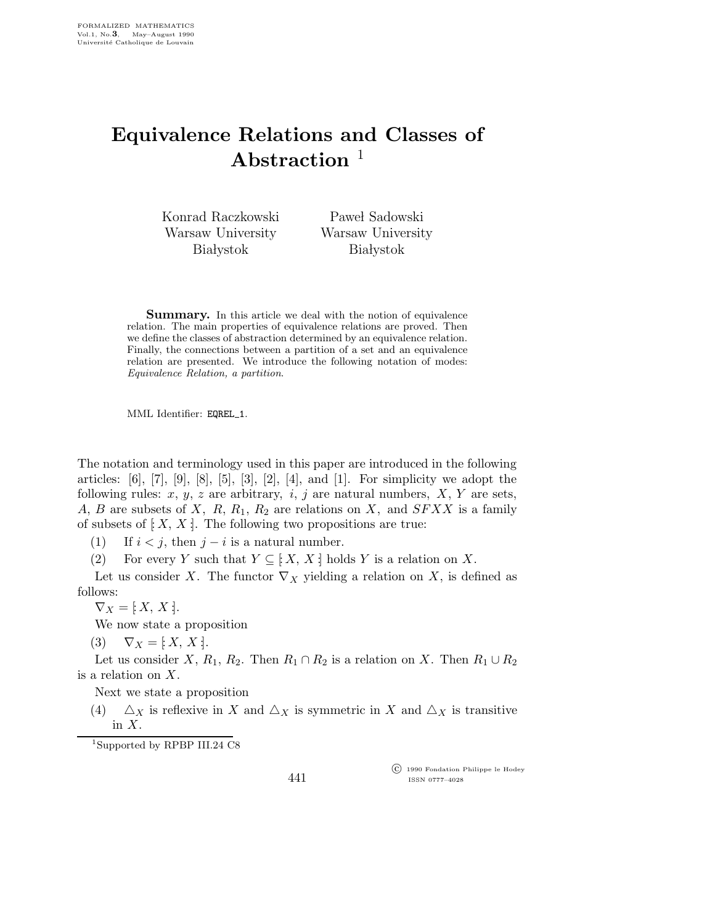## Equivalence Relations and Classes of Abstraction  $<sup>1</sup>$ </sup>

Konrad Raczkowski Warsaw University **Białystok** 

Paweł Sadowski Warsaw University **Białystok** 

Summary. In this article we deal with the notion of equivalence relation. The main properties of equivalence relations are proved. Then we define the classes of abstraction determined by an equivalence relation. Finally, the connections between a partition of a set and an equivalence relation are presented. We introduce the following notation of modes: Equivalence Relation, a partition.

MML Identifier: EQREL 1.

The notation and terminology used in this paper are introduced in the following articles:  $[6]$ ,  $[7]$ ,  $[9]$ ,  $[8]$ ,  $[5]$ ,  $[3]$ ,  $[2]$ ,  $[4]$ , and  $[1]$ . For simplicity we adopt the following rules:  $x, y, z$  are arbitrary,  $i, j$  are natural numbers,  $X, Y$  are sets, A, B are subsets of X, R,  $R_1$ ,  $R_2$  are relations on X, and  $SFXX$  is a family of subsets of  $[X, X]$ . The following two propositions are true:

(1) If  $i < j$ , then  $j - i$  is a natural number.

(2) For every Y such that  $Y \subseteq [X, X:]$  holds Y is a relation on X.

Let us consider X. The functor  $\nabla_X$  yielding a relation on X, is defined as follows:

 $\nabla_X = [X, X].$ 

We now state a proposition

(3)  $\nabla_X = [X, X].$ 

Let us consider X,  $R_1$ ,  $R_2$ . Then  $R_1 \cap R_2$  is a relation on X. Then  $R_1 \cup R_2$ is a relation on X.

Next we state a proposition

(4)  $\Delta_X$  is reflexive in X and  $\Delta_X$  is symmetric in X and  $\Delta_X$  is transitive in  $X$ .

<sup>1</sup>Supported by RPBP III.24 C8

441

 c 1990 Fondation Philippe le Hodey ISSN 0777–4028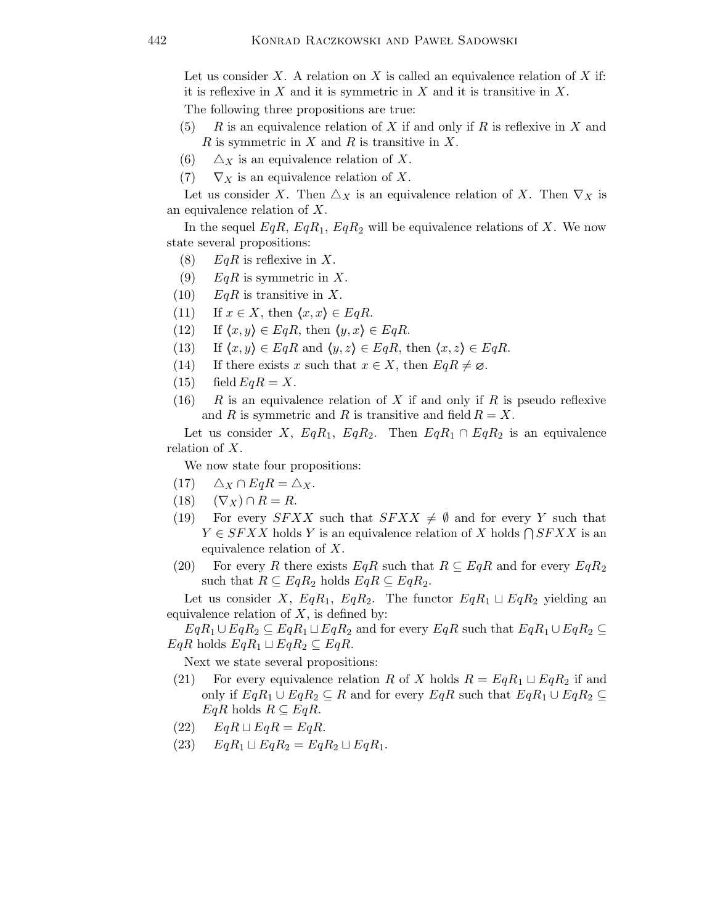Let us consider X. A relation on X is called an equivalence relation of X if: it is reflexive in  $X$  and it is symmetric in  $X$  and it is transitive in  $X$ . The following three propositions are true:

- $(5)$  R is an equivalence relation of X if and only if R is reflexive in X and R is symmetric in X and R is transitive in X.
- (6)  $\Delta_X$  is an equivalence relation of X.
- (7)  $\nabla_X$  is an equivalence relation of X.

Let us consider X. Then  $\triangle_X$  is an equivalence relation of X. Then  $\nabla_X$  is an equivalence relation of X.

In the sequel  $EqR, EqR_1, EqR_2$  will be equivalence relations of X. We now state several propositions:

- (8)  $EqR$  is reflexive in X.
- (9)  $EqR$  is symmetric in X.
- $(10)$  EqR is transitive in X.
- (11) If  $x \in X$ , then  $\langle x,x \rangle \in EqR$ .
- (12) If  $\langle x, y \rangle \in EqR$ , then  $\langle y, x \rangle \in EqR$ .
- (13) If  $\langle x, y \rangle \in EqR$  and  $\langle y, z \rangle \in EqR$ , then  $\langle x, z \rangle \in EqR$ .
- (14) If there exists x such that  $x \in X$ , then  $EqR \neq \emptyset$ .
- $(15)$  field  $EqR = X$ .
- (16) R is an equivalence relation of X if and only if R is pseudo reflexive and R is symmetric and R is transitive and field  $R = X$ .

Let us consider X,  $EqR_1$ ,  $EqR_2$ . Then  $EqR_1 \cap EqR_2$  is an equivalence relation of X.

We now state four propositions:

- $(17)$   $\Delta_X \cap E q R = \Delta_X$ .
- (18)  $(\nabla_X) \cap R = R$ .
- (19) For every SFXX such that  $SFXX \neq \emptyset$  and for every Y such that  $Y \in SFXX$  holds Y is an equivalence relation of X holds  $\bigcap SFXX$  is an equivalence relation of X.
- (20) For every R there exists  $EqR$  such that  $R \subseteq EqR$  and for every  $EqR_2$ such that  $R \subseteq EqR_2$  holds  $EqR \subseteq EqR_2$ .

Let us consider X,  $EqR_1$ ,  $EqR_2$ . The functor  $EqR_1 \sqcup EqR_2$  yielding an equivalence relation of  $X$ , is defined by:

 $EqR_1 \cup EqR_2 \subseteq EqR_1 \cup EqR_2$  and for every  $EqR$  such that  $EqR_1 \cup EqR_2 \subseteq$  $EqR$  holds  $EqR_1 \sqcup EqR_2 \subseteq EqR$ .

Next we state several propositions:

- (21) For every equivalence relation R of X holds  $R = EqR_1 \sqcup EqR_2$  if and only if  $EqR_1 \cup EqR_2 \subseteq R$  and for every  $EqR$  such that  $EqR_1 \cup EqR_2 \subseteq R$  $EqR$  holds  $R \subseteq EqR$ .
- $EqR \sqcup EqR = EqR$ .
- (23)  $EqR_1 \sqcup EqR_2 = EqR_2 \sqcup EqR_1$ .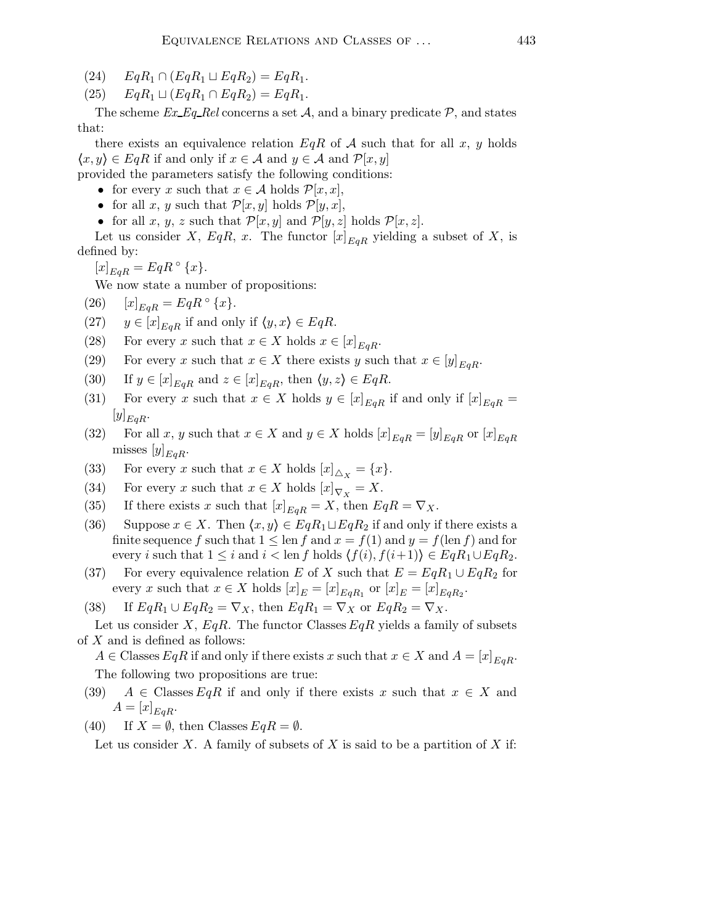- (24)  $EqR_1 \cap (EqR_1 \sqcup EqR_2) = EqR_1$ .
- (25)  $EqR_1 \sqcup (EqR_1 \cap EqR_2) = EqR_1.$

The scheme  $Ex\_Eq\_Rel$  concerns a set A, and a binary predicate P, and states that:

there exists an equivalence relation  $EqR$  of A such that for all x, y holds  $\langle x,y\rangle \in EqR$  if and only if  $x \in A$  and  $y \in A$  and  $\mathcal{P}[x,y]$ 

provided the parameters satisfy the following conditions:

- for every x such that  $x \in \mathcal{A}$  holds  $\mathcal{P}[x, x]$ ,
- for all x, y such that  $\mathcal{P}[x,y]$  holds  $\mathcal{P}[y,x]$ ,
- for all x, y, z such that  $\mathcal{P}[x,y]$  and  $\mathcal{P}[y,z]$  holds  $\mathcal{P}[x,z]$ .

Let us consider X, EqR, x. The functor  $[x]_{EgR}$  yielding a subset of X, is defined by:

 $[x]_{EqR} = EqR \circ \{x\}.$ 

We now state a number of propositions:

- (26)  $[x]_{E_{qR}} = EqR \circ \{x\}.$
- (27)  $y \in [x]_{EgR}$  if and only if  $\langle y, x \rangle \in EqR$ .
- (28) For every x such that  $x \in X$  holds  $x \in [x]_{E \cap R}$ .
- (29) For every x such that  $x \in X$  there exists y such that  $x \in [y]_{E_{\alpha}R}$ .
- (30) If  $y \in [x]_{EqR}$  and  $z \in [x]_{EqR}$ , then  $\langle y, z \rangle \in EqR$ .
- (31) For every x such that  $x \in X$  holds  $y \in [x]_{EgR}$  if and only if  $[x]_{EgR}$  $[y]_{EqR}.$
- (32) For all x, y such that  $x \in X$  and  $y \in X$  holds  $[x]_{EgR} = [y]_{EgR}$  or  $[x]_{EgR}$ misses  $[y]_{EgR}$ .
- (33) For every x such that  $x \in X$  holds  $[x]_{\Delta_X} = \{x\}.$
- (34) For every x such that  $x \in X$  holds  $[x]_{\nabla_X} = X$ .
- (35) If there exists x such that  $[x]_{E_{qR}} = X$ , then  $EqR = \nabla_X$ .
- (36) Suppose  $x \in X$ . Then  $\langle x, y \rangle \in E q R_1 \sqcup E q R_2$  if and only if there exists a finite sequence f such that  $1 \leq \text{len } f$  and  $x = f(1)$  and  $y = f(\text{len } f)$  and for every i such that  $1 \leq i$  and  $i < \text{len } f$  holds  $\langle f(i), f(i+1) \rangle \in EqR_1 \cup EqR_2$ .
- (37) For every equivalence relation E of X such that  $E = EqR_1 \cup EqR_2$  for every x such that  $x \in X$  holds  $[x]_E = [x]_{EqR_1}$  or  $[x]_E = [x]_{EqR_2}$ .
- (38) If  $EqR_1 \cup EqR_2 = \nabla_X$ , then  $EqR_1 = \nabla_X$  or  $EqR_2 = \nabla_X$ .

Let us consider X,  $EqR$ . The functor Classes  $EqR$  yields a family of subsets of X and is defined as follows:

 $A \in \text{Classes } E q R$  if and only if there exists x such that  $x \in X$  and  $A = [x]_{E q R}$ . The following two propositions are true:

(39)  $A \in \text{Classes } E q R$  if and only if there exists x such that  $x \in X$  and  $A=[x]_{EgR}.$ 

(40) If  $X = \emptyset$ , then Classes  $EqR = \emptyset$ .

Let us consider X. A family of subsets of X is said to be a partition of X if: